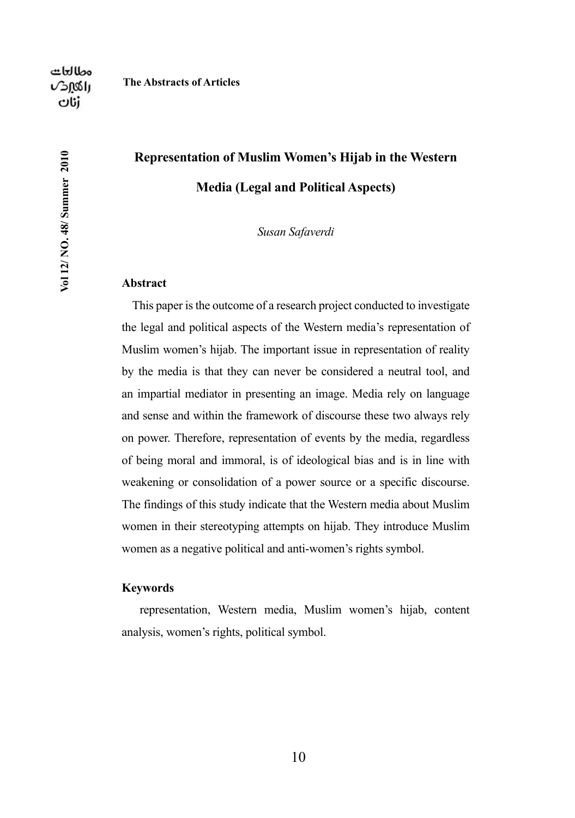Vol 12/ NO. 48/ Summer 2010

# **Representation of Muslim Women's Hijab in the Western Media (Legal and Political Aspects)**

*Susan Safaverdi*

### **Abstract**

This paper is the outcome of a research project conducted to investigate the legal and political aspects of the Western media's representation of Muslim women's hijab. The important issue in representation of reality by the media is that they can never be considered a neutral tool, and an impartial mediator in presenting an image. Media rely on language and sense and within the framework of discourse these two always rely on power. Therefore, representation of events by the media, regardless of being moral and immoral, is of ideological bias and is in line with weakening or consolidation of a power source or a specific discourse. The findings of this study indicate that the Western media about Muslim women in their stereotyping attempts on hijab. They introduce Muslim women as a negative political and anti-women's rights symbol.

### **Keywords**

 representation, Western media, Muslim women's hijab, content analysis, women's rights, political symbol.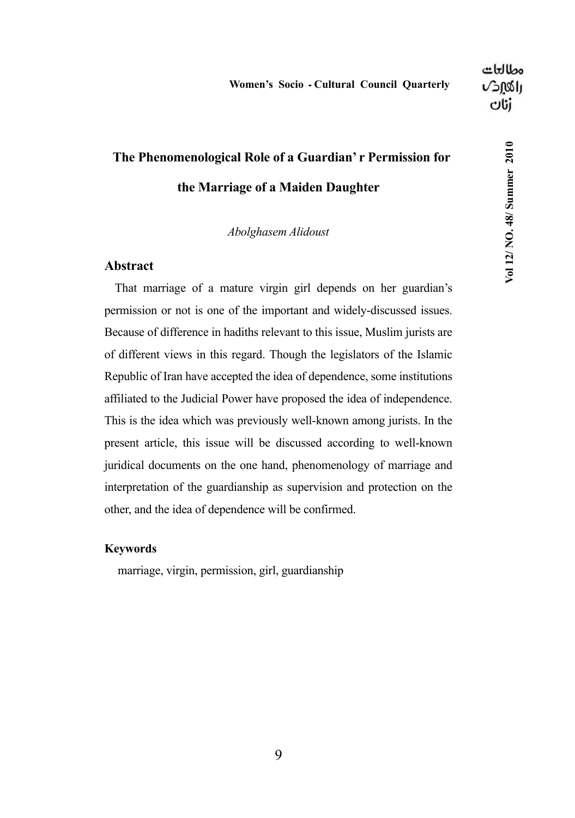# **The Phenomenological Role of a Guardian' r Permission for the Marriage of a Maiden Daughter**

### *Abolghasem Alidoust*

### **Abstract**

That marriage of a mature virgin girl depends on her guardian's permission or not is one of the important and widely-discussed issues. Because of difference in hadiths relevant to this issue, Muslim jurists are of different views in this regard. Though the legislators of the Islamic Republic of Iran have accepted the idea of dependence, some institutions affiliated to the Judicial Power have proposed the idea of independence. This is the idea which was previously well-known among jurists. In the present article, this issue will be discussed according to well-known juridical documents on the one hand, phenomenology of marriage and interpretation of the guardianship as supervision and protection on the other, and the idea of dependence will be confirmed.

### **Keywords**

marriage, virgin, permission, girl, guardianship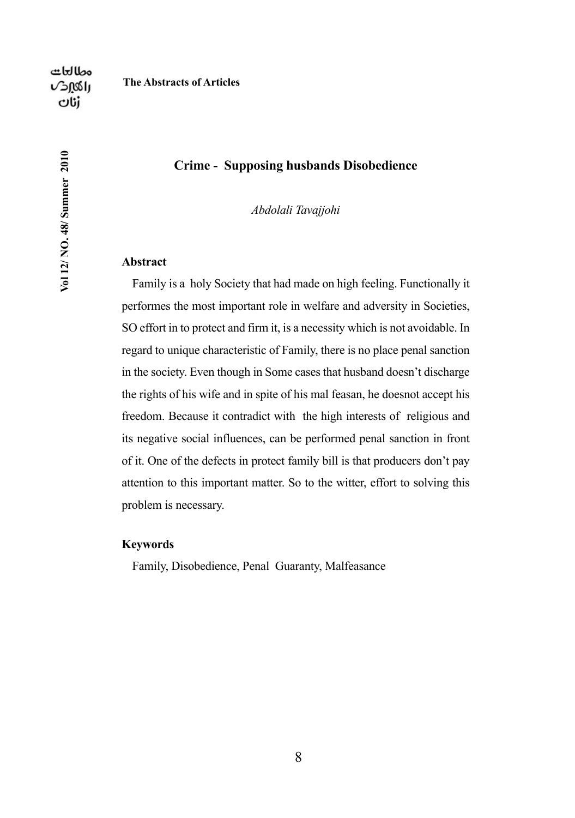Vol 12/NO. 48/ Summer 2010

#### **The Abstracts of Articles**

### **Crime - Supposing husbands Disobedience**

*Abdolali Tavajjohi*

#### **Abstract**

Family is a holy Society that had made on high feeling. Functionally it performes the most important role in welfare and adversity in Societies, SO effort in to protect and firm it, is a necessity which is not avoidable. In regard to unique characteristic of Family, there is no place penal sanction in the society. Even though in Some cases that husband doesn't discharge the rights of his wife and in spite of his mal feasan, he doesnot accept his freedom. Because it contradict with the high interests of religious and its negative social influences, can be performed penal sanction in front of it. One of the defects in protect family bill is that producers don't pay attention to this important matter. So to the witter, effort to solving this problem is necessary.

### **Keywords**

Family, Disobedience, Penal Guaranty, Malfeasance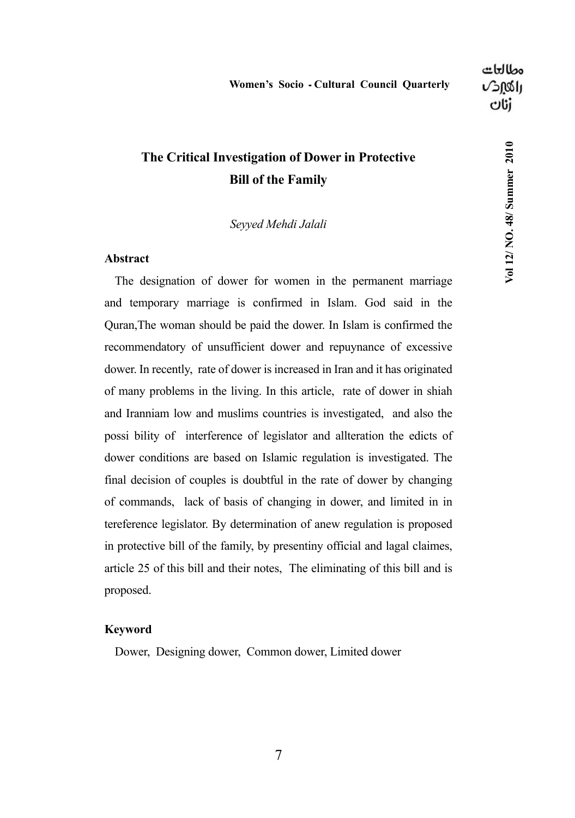Vol 12/NO. 48/ Summer 2010

## **The Critical Investigation of Dower in Protective Bill of the Family**

*Seyyed Mehdi Jalali*

### **Abstract**

The designation of dower for women in the permanent marriage and temporary marriage is confirmed in Islam. God said in the Quran,The woman should be paid the dower. In Islam is confirmed the recommendatory of unsufficient dower and repuynance of excessive dower. In recently, rate of dower is increased in Iran and it has originated of many problems in the living. In this article, rate of dower in shiah and Iranniam low and muslims countries is investigated, and also the possi bility of interference of legislator and allteration the edicts of dower conditions are based on Islamic regulation is investigated. The final decision of couples is doubtful in the rate of dower by changing of commands, lack of basis of changing in dower, and limited in in tereference legislator. By determination of anew regulation is proposed in protective bill of the family, by presentiny official and lagal claimes, article 25 of this bill and their notes, The eliminating of this bill and is proposed.

### **Keyword**

Dower, Designing dower, Common dower, Limited dower

۳۵۴ 7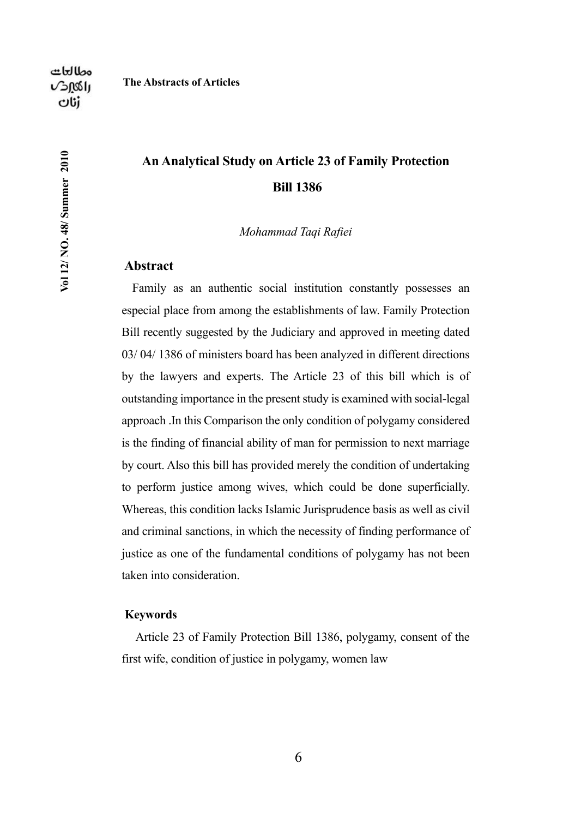Vol 12/ NO. 48/ Summer 2010

## **An Analytical Study on Article 23 of Family Protection Bill 1386**

*Mohammad Taqi Rafiei*

### **Abstract**

**The Abstracts of Articles**

Family as an authentic social institution constantly possesses an especial place from among the establishments of law. Family Protection Bill recently suggested by the Judiciary and approved in meeting dated 03/ 04/ 1386 of ministers board has been analyzed in different directions by the lawyers and experts. The Article 23 of this bill which is of outstanding importance in the present study is examined with social-legal approach .In this Comparison the only condition of polygamy considered is the finding of financial ability of man for permission to next marriage by court. Also this bill has provided merely the condition of undertaking to perform justice among wives, which could be done superficially. Whereas, this condition lacks Islamic Jurisprudence basis as well as civil and criminal sanctions, in which the necessity of finding performance of justice as one of the fundamental conditions of polygamy has not been taken into consideration.

### **Keywords**

 Article 23 of Family Protection Bill 1386, polygamy, consent of the first wife, condition of justice in polygamy, women law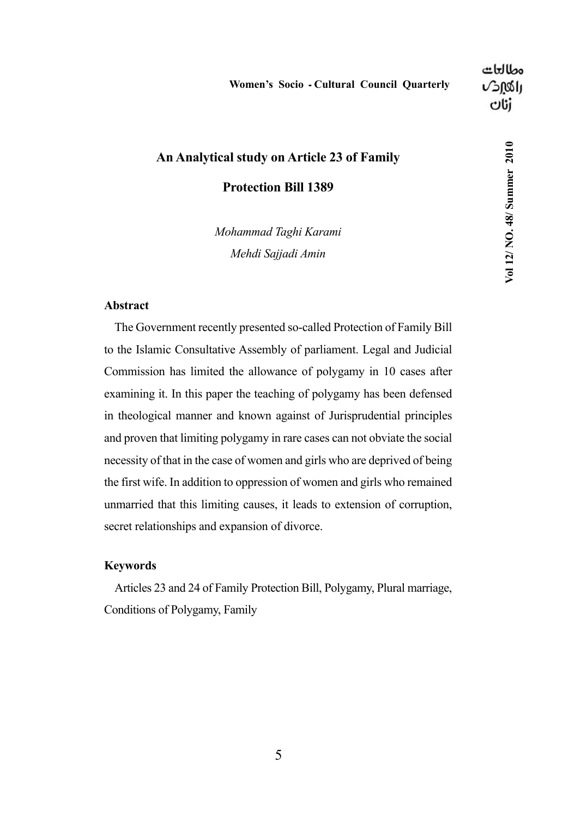Vol 12/NO. 48/ Summer 2010

## **An Analytical study on Article 23 of Family**

**Protection Bill 1389**

*Mohammad Taghi Karami Mehdi Sajjadi Amin*

### **Abstract**

The Government recently presented so-called Protection of Family Bill to the Islamic Consultative Assembly of parliament. Legal and Judicial Commission has limited the allowance of polygamy in 10 cases after examining it. In this paper the teaching of polygamy has been defensed in theological manner and known against of Jurisprudential principles and proven that limiting polygamy in rare cases can not obviate the social necessity of that in the case of women and girls who are deprived of being the first wife. In addition to oppression of women and girls who remained unmarried that this limiting causes, it leads to extension of corruption, secret relationships and expansion of divorce.

### **Keywords**

Articles 23 and 24 of Family Protection Bill, Polygamy, Plural marriage, Conditions of Polygamy, Family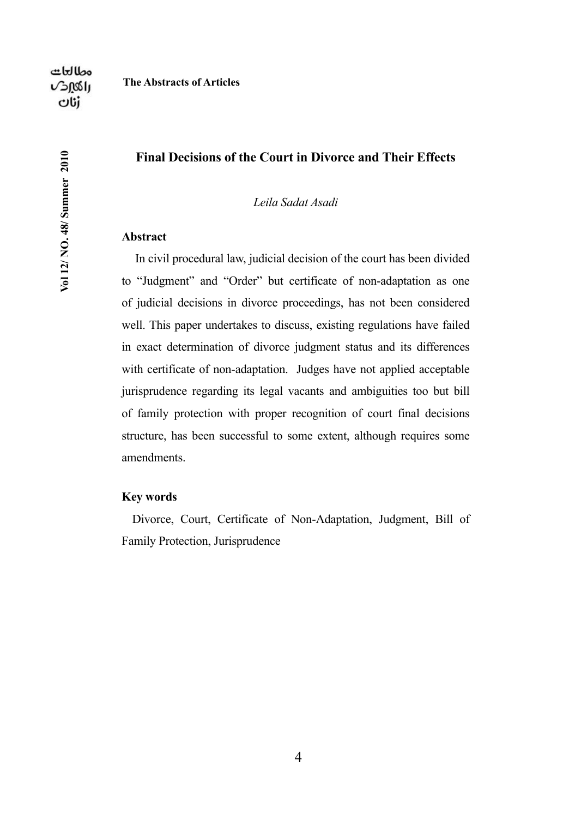Vol 12/NO. 48/ Summer 2010

### **Final Decisions of the Court in Divorce and Their Effects**

*Leila Sadat Asadi*

### **Abstract**

 In civil procedural law, judicial decision of the court has been divided to "Judgment" and "Order" but certificate of non-adaptation as one of judicial decisions in divorce proceedings, has not been considered well. This paper undertakes to discuss, existing regulations have failed in exact determination of divorce judgment status and its differences with certificate of non-adaptation. Judges have not applied acceptable jurisprudence regarding its legal vacants and ambiguities too but bill of family protection with proper recognition of court final decisions structure, has been successful to some extent, although requires some amendments.

### **Key words**

Divorce, Court, Certificate of Non-Adaptation, Judgment, Bill of Family Protection, Jurisprudence